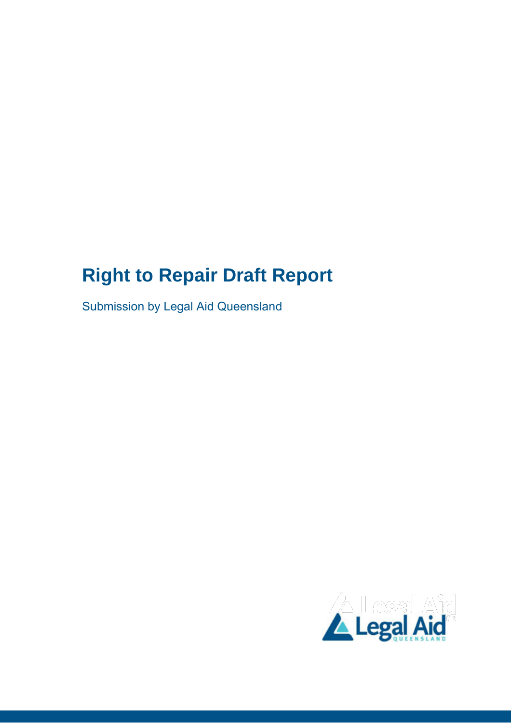## **Right to Repair Draft Report**

Submission by Legal Aid Queensland